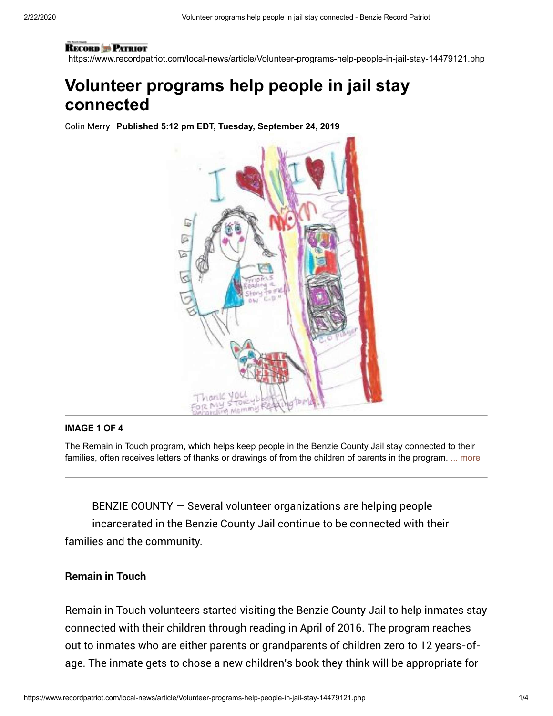#### **RECORD PATRIOT**

https://www.recordpatriot.com/local-news/article/Volunteer-programs-help-people-in-jail-stay-14479121.php

# **Volunteer programs help people in jail stay connected**

Colin Merry **Published 5:12 pm EDT, Tuesday, September 24, 2019**



#### **IMAGE 1 OF 4**

The Remain in Touch program, which helps keep people in the Benzie County Jail stay connected to their families, often receives letters of thanks or drawings of from the children of parents in the program. ... more

BENZIE COUNTY — Several volunteer organizations are helping people incarcerated in the Benzie County Jail continue to be connected with their families and the community.

### Remain in Touch

Remain in Touch volunteers started visiting the Benzie County Jail to help inmates stay connected with their children through reading in April of 2016. The program reaches out to inmates who are either parents or grandparents of children zero to 12 years-ofage. The inmate gets to chose a new children's book they think will be appropriate for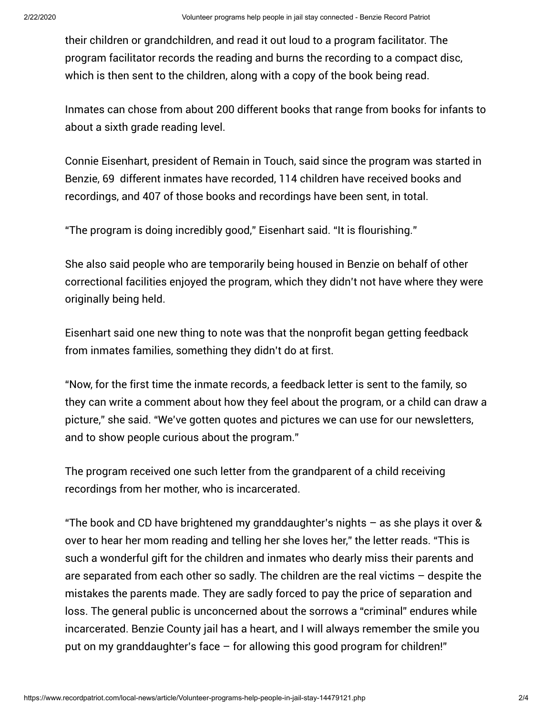their children or grandchildren, and read it out loud to a program facilitator. The program facilitator records the reading and burns the recording to a compact disc, which is then sent to the children, along with a copy of the book being read.

Inmates can chose from about 200 different books that range from books for infants to about a sixth grade reading level.

Connie Eisenhart, president of Remain in Touch, said since the program was started in Benzie, 69 different inmates have recorded, 114 children have received books and recordings, and 407 of those books and recordings have been sent, in total.

"The program is doing incredibly good," Eisenhart said. "It is flourishing."

She also said people who are temporarily being housed in Benzie on behalf of other correctional facilities enjoyed the program, which they didn't not have where they were originally being held.

Eisenhart said one new thing to note was that the nonprofit began getting feedback from inmates families, something they didn't do at first.

"Now, for the first time the inmate records, a feedback letter is sent to the family, so they can write a comment about how they feel about the program, or a child can draw a picture," she said. "We've gotten quotes and pictures we can use for our newsletters, and to show people curious about the program."

The program received one such letter from the grandparent of a child receiving recordings from her mother, who is incarcerated.

"The book and CD have brightened my granddaughter's nights – as she plays it over & over to hear her mom reading and telling her she loves her," the letter reads. "This is such a wonderful gift for the children and inmates who dearly miss their parents and are separated from each other so sadly. The children are the real victims – despite the mistakes the parents made. They are sadly forced to pay the price of separation and loss. The general public is unconcerned about the sorrows a "criminal" endures while incarcerated. Benzie County jail has a heart, and I will always remember the smile you put on my granddaughter's face – for allowing this good program for children!"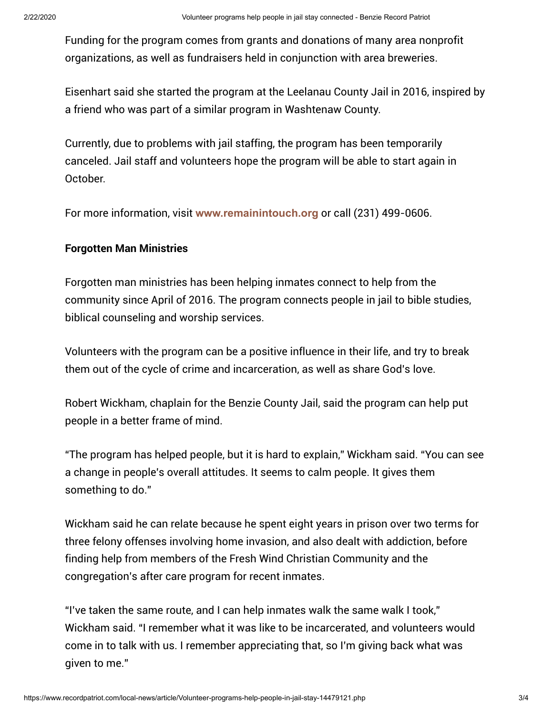Funding for the program comes from grants and donations of many area nonprofit organizations, as well as fundraisers held in conjunction with area breweries.

Eisenhart said she started the program at the Leelanau County Jail in 2016, inspired by a friend who was part of a similar program in Washtenaw County.

Currently, due to problems with jail staffing, the program has been temporarily canceled. Jail staff and volunteers hope the program will be able to start again in October.

For more information, visit **[www.remainintouch.org](http://www.remainintouch.org/)** or call (231) 499-0606.

## Forgotten Man Ministries

Forgotten man ministries has been helping inmates connect to help from the community since April of 2016. The program connects people in jail to bible studies, biblical counseling and worship services.

Volunteers with the program can be a positive influence in their life, and try to break them out of the cycle of crime and incarceration, as well as share God's love.

Robert Wickham, chaplain for the Benzie County Jail, said the program can help put people in a better frame of mind.

"The program has helped people, but it is hard to explain," Wickham said. "You can see a change in people's overall attitudes. It seems to calm people. It gives them something to do."

Wickham said he can relate because he spent eight years in prison over two terms for three felony offenses involving home invasion, and also dealt with addiction, before finding help from members of the Fresh Wind Christian Community and the congregation's after care program for recent inmates.

"I've taken the same route, and I can help inmates walk the same walk I took," Wickham said. "I remember what it was like to be incarcerated, and volunteers would come in to talk with us. I remember appreciating that, so I'm giving back what was given to me."